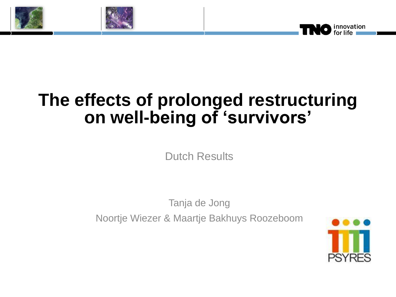



# **The effects of prolonged restructuring on well-being of 'survivors'**

Dutch Results

Tanja de Jong Noortje Wiezer & Maartje Bakhuys Roozeboom

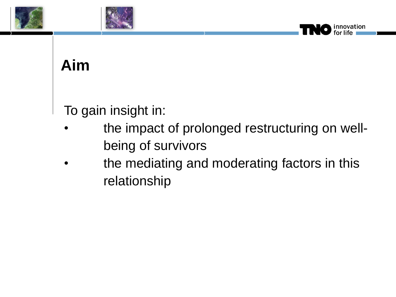



## **Aim**

To gain insight in:

• the impact of prolonged restructuring on wellbeing of survivors

innovation

the mediating and moderating factors in this relationship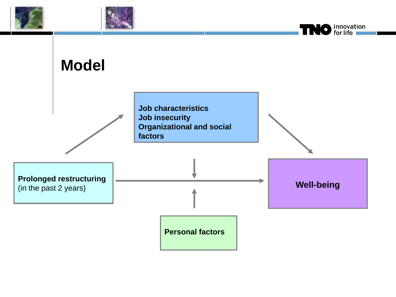





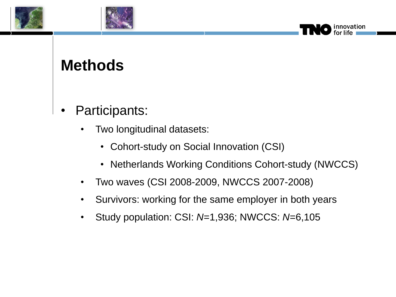



### **Methods**

- Participants:
	- Two longitudinal datasets:
		- Cohort-study on Social Innovation (CSI)
		- Netherlands Working Conditions Cohort-study (NWCCS)

novation

- Two waves (CSI 2008-2009, NWCCS 2007-2008)
- Survivors: working for the same employer in both years
- Study population: CSI: *N*=1,936; NWCCS: *N*=6,105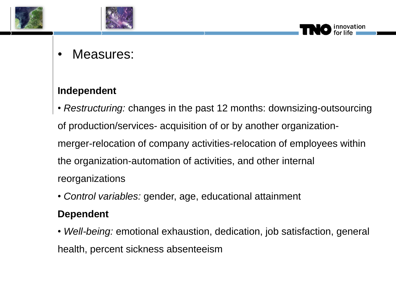



### Measures:

#### **Independent**

• *Restructuring:* changes in the past 12 months: downsizing-outsourcing of production/services- acquisition of or by another organizationmerger-relocation of company activities-relocation of employees within the organization-automation of activities, and other internal reorganizations

• *Control variables:* gender, age, educational attainment

#### **Dependent**

• *Well-being:* emotional exhaustion, dedication, job satisfaction, general health, percent sickness absenteeism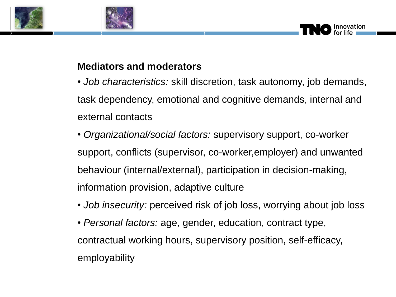



#### **Mediators and moderators**

• *Job characteristics:* skill discretion, task autonomy, job demands, task dependency, emotional and cognitive demands, internal and external contacts

- *Organizational/social factors:* supervisory support, co-worker support, conflicts (supervisor, co-worker,employer) and unwanted behaviour (internal/external), participation in decision-making, information provision, adaptive culture
- *Job insecurity:* perceived risk of job loss, worrying about job loss
- *Personal factors:* age, gender, education, contract type, contractual working hours, supervisory position, self-efficacy, employability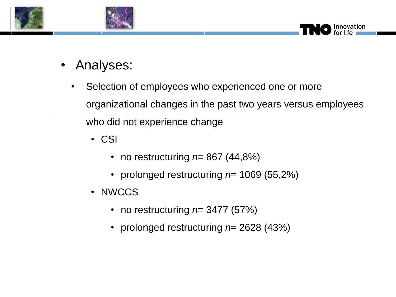



- Analyses:
	- Selection of employees who experienced one or more organizational changes in the past two years versus employees who did not experience change

- CSI
	- no restructuring *n*= 867 (44,8%)
	- prolonged restructuring *n*= 1069 (55,2%)
- NWCCS
	- no restructuring *n*= 3477 (57%)
	- prolonged restructuring *n*= 2628 (43%)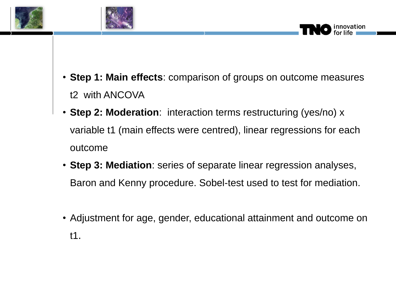



- **Step 1: Main effects**: comparison of groups on outcome measures t2 with ANCOVA
- **Step 2: Moderation:** interaction terms restructuring (yes/no) x variable t1 (main effects were centred), linear regressions for each outcome
- **Step 3: Mediation**: series of separate linear regression analyses, Baron and Kenny procedure. Sobel-test used to test for mediation.
- Adjustment for age, gender, educational attainment and outcome on t1.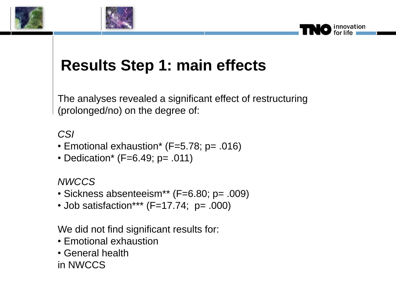



### **Results Step 1: main effects**

The analyses revealed a significant effect of restructuring (prolonged/no) on the degree of:

#### *CSI*

- Emotional exhaustion\* (F=5.78; p= .016)
- Dedication\* (F=6.49; p= .011)

#### *NWCCS*

- Sickness absenteeism\*\* (F=6.80; p= .009)
- Job satisfaction\*\*\* (F=17.74; p= .000)

We did not find significant results for:

- Emotional exhaustion
- General health

in NWCCS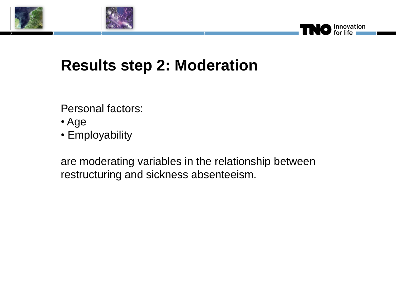



### **Results step 2: Moderation**

Personal factors:

- Age
- Employability

are moderating variables in the relationship between restructuring and sickness absenteeism.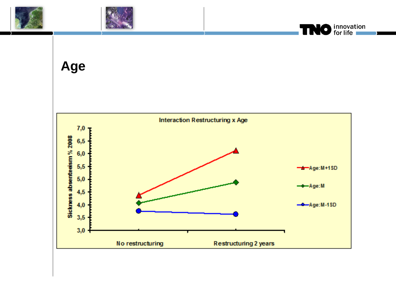





**Age**

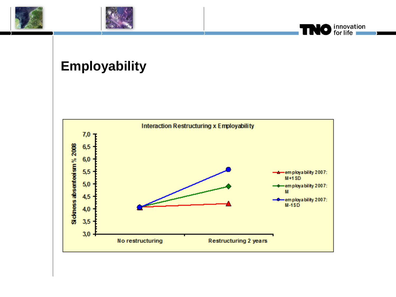





### **Employability**

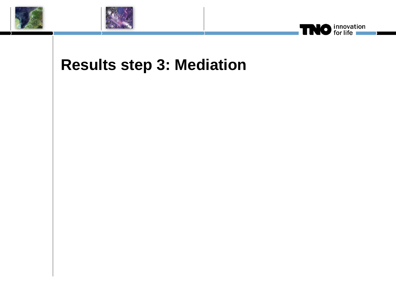





### **Results step 3: Mediation**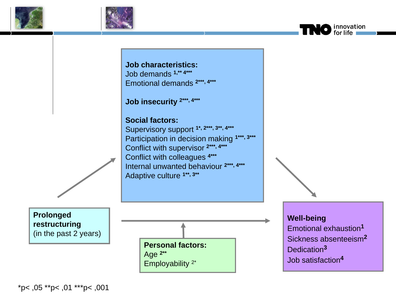



**Job characteristics:** Job demands **1,\*\* 4\*\*\*** Emotional demands **2\*\*\*, 4\*\*\***

**Job insecurity 2\*\*\*, 4\*\*\***

#### **Social factors:**

Supervisory support **1\*, 2\*\*\*, 3\*\*, 4\*\*\*** Participation in decision making **1\*\*\*, 3\*\*\*** Conflict with supervisor **2\*\*\*, 4\*\*\*** Conflict with colleagues **4\*\*\*** Internal unwanted behaviour **2\*\*\*, 4\*\*\*** Adaptive culture **1\*\*, 3\*\***

**Prolonged restructuring** (in the past 2 years)



**Well-being** Emotional exhaustion**<sup>1</sup>** Sickness absenteeism**<sup>2</sup>** Dedication**<sup>3</sup>** Job satisfaction**<sup>4</sup>**

O innovation

\*p< ,05 \*\*p< ,01 \*\*\*p< ,001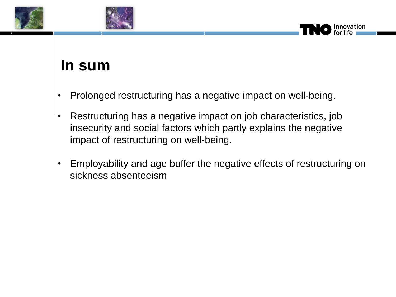



### **In sum**

- Prolonged restructuring has a negative impact on well-being.
- Restructuring has a negative impact on job characteristics, job insecurity and social factors which partly explains the negative impact of restructuring on well-being.
- Employability and age buffer the negative effects of restructuring on sickness absenteeism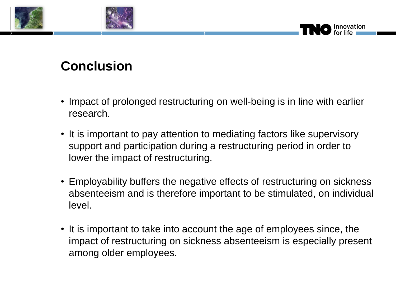



### **Conclusion**

• Impact of prolonged restructuring on well-being is in line with earlier research.

- It is important to pay attention to mediating factors like supervisory support and participation during a restructuring period in order to lower the impact of restructuring.
- Employability buffers the negative effects of restructuring on sickness absenteeism and is therefore important to be stimulated, on individual level.
- It is important to take into account the age of employees since, the impact of restructuring on sickness absenteeism is especially present among older employees.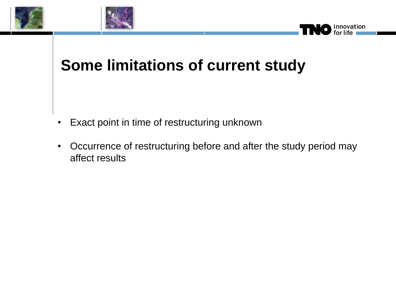



### **Some limitations of current study**

- Exact point in time of restructuring unknown
- Occurrence of restructuring before and after the study period may affect results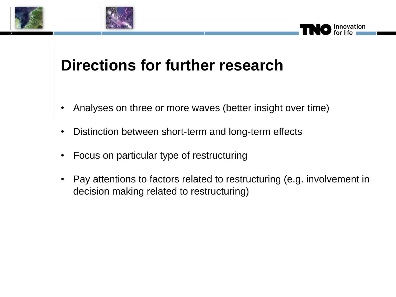



### **Directions for further research**

- Analyses on three or more waves (better insight over time)
- Distinction between short-term and long-term effects
- Focus on particular type of restructuring
- Pay attentions to factors related to restructuring (e.g. involvement in decision making related to restructuring)